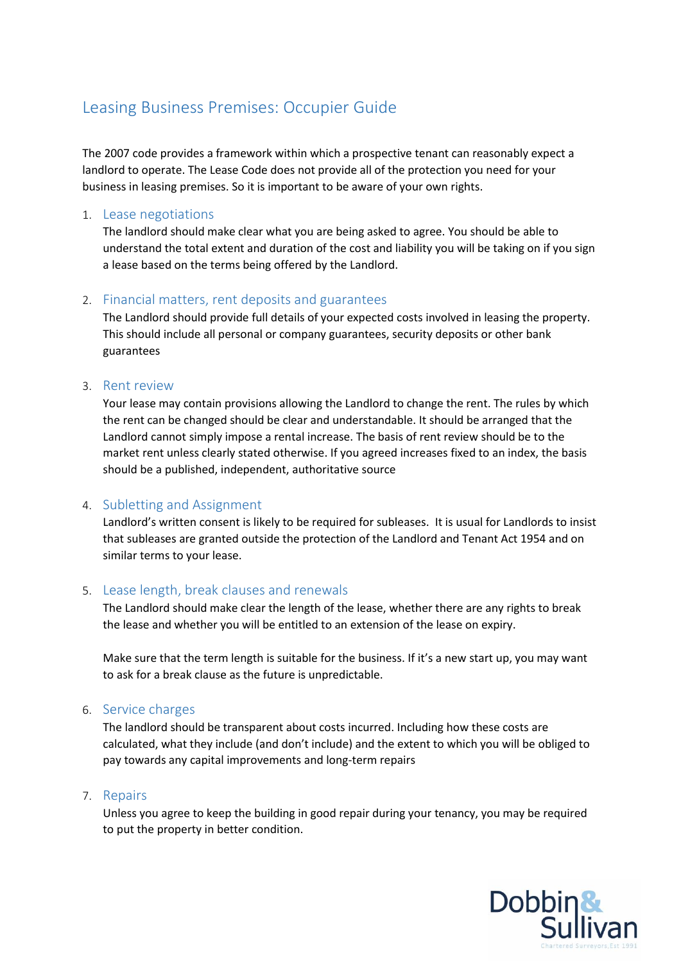# Leasing Business Premises: Occupier Guide

The 2007 code provides a framework within which a prospective tenant can reasonably expect a landlord to operate. The Lease Code does not provide all of the protection you need for your business in leasing premises. So it is important to be aware of your own rights.

## 1. Lease negotiations

The landlord should make clear what you are being asked to agree. You should be able to understand the total extent and duration of the cost and liability you will be taking on if you sign a lease based on the terms being offered by the Landlord.

# 2. Financial matters, rent deposits and guarantees

The Landlord should provide full details of your expected costs involved in leasing the property. This should include all personal or company guarantees, security deposits or other bank guarantees

#### 3. Rent review

Your lease may contain provisions allowing the Landlord to change the rent. The rules by which the rent can be changed should be clear and understandable. It should be arranged that the Landlord cannot simply impose a rental increase. The basis of rent review should be to the market rent unless clearly stated otherwise. If you agreed increases fixed to an index, the basis should be a published, independent, authoritative source

## 4. Subletting and Assignment

Landlord's written consent is likely to be required for subleases. It is usual for Landlords to insist that subleases are granted outside the protection of the Landlord and Tenant Act 1954 and on similar terms to your lease.

## 5. Lease length, break clauses and renewals

The Landlord should make clear the length of the lease, whether there are any rights to break the lease and whether you will be entitled to an extension of the lease on expiry.

Make sure that the term length is suitable for the business. If it's a new start up, you may want to ask for a break clause as the future is unpredictable.

## 6. Service charges

The landlord should be transparent about costs incurred. Including how these costs are calculated, what they include (and don't include) and the extent to which you will be obliged to pay towards any capital improvements and long-term repairs

#### 7. Repairs

Unless you agree to keep the building in good repair during your tenancy, you may be required to put the property in better condition.